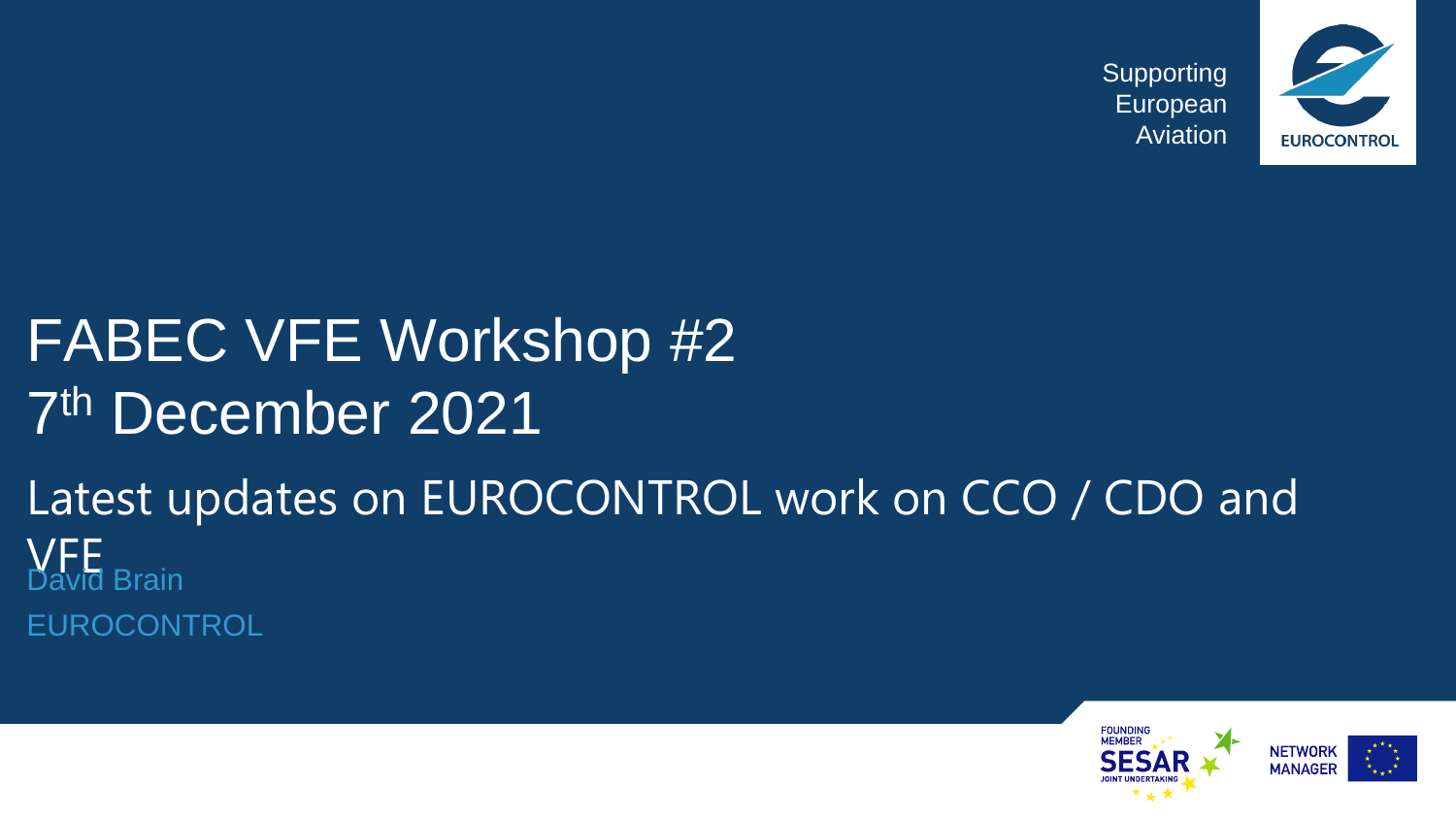

## FABEC VFE Workshop #2 7 th December 2021

### Latest updates on EUROCONTROL work on CCO / CDO and **VFF**<br>David Brain EUROCONTROL

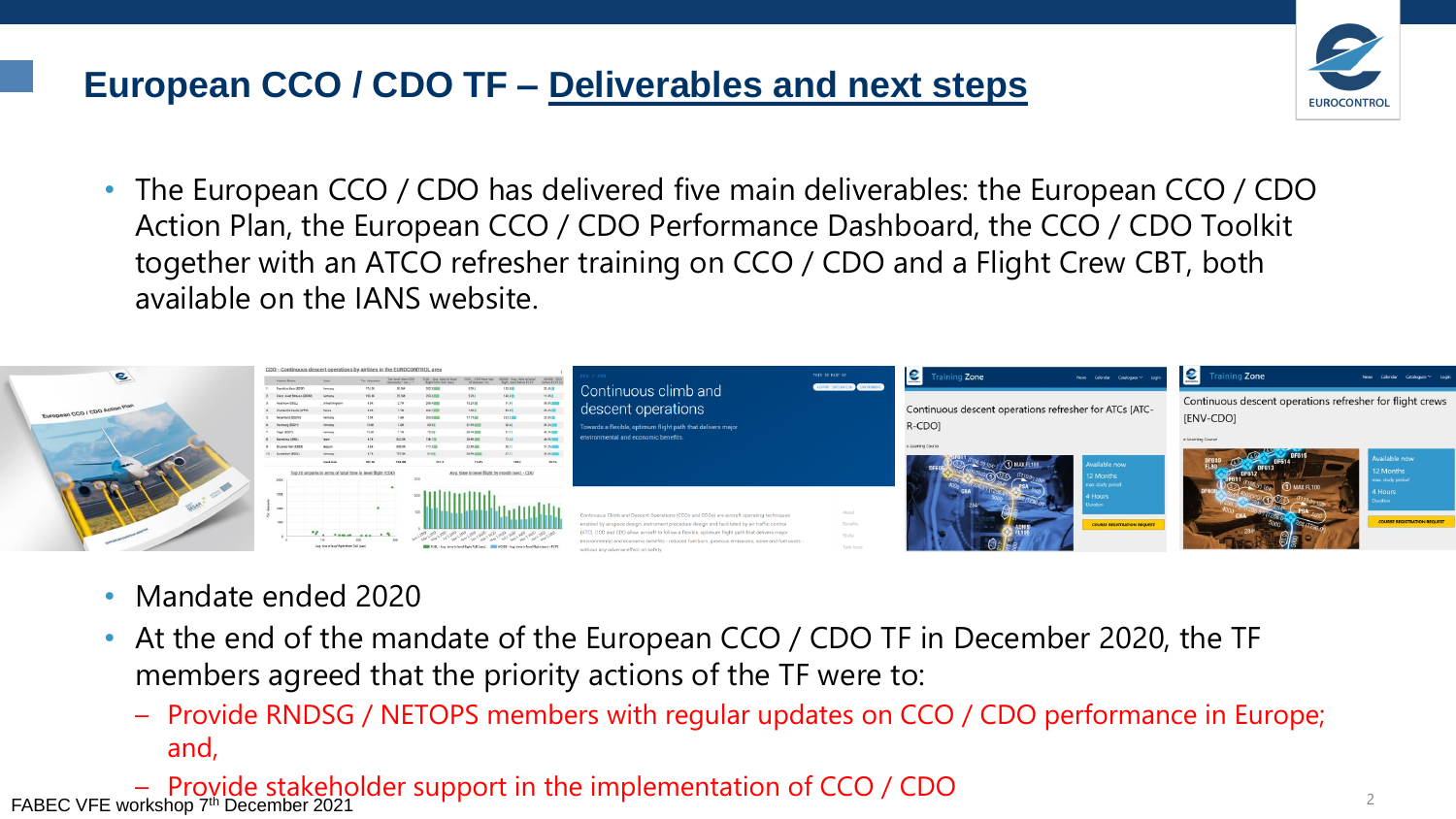#### **European CCO / CDO TF – Deliverables and next steps**

- **EUROCONTRO**
- The European CCO / CDO has delivered five main deliverables: the European CCO / CDO Action Plan, the European CCO / CDO Performance Dashboard, the CCO / CDO Toolkit together with an ATCO refresher training on CCO / CDO and a Flight Crew CBT, both available on the IANS website.



- Mandate ended 2020
- At the end of the mandate of the European CCO / CDO TF in December 2020, the TF members agreed that the priority actions of the TF were to:
	- Provide RNDSG / NETOPS members with regular updates on CCO / CDO performance in Europe; and,

– Provide stakeholder support in the implementation of CCO / CDO FABEC VFE workshop 7th December 2021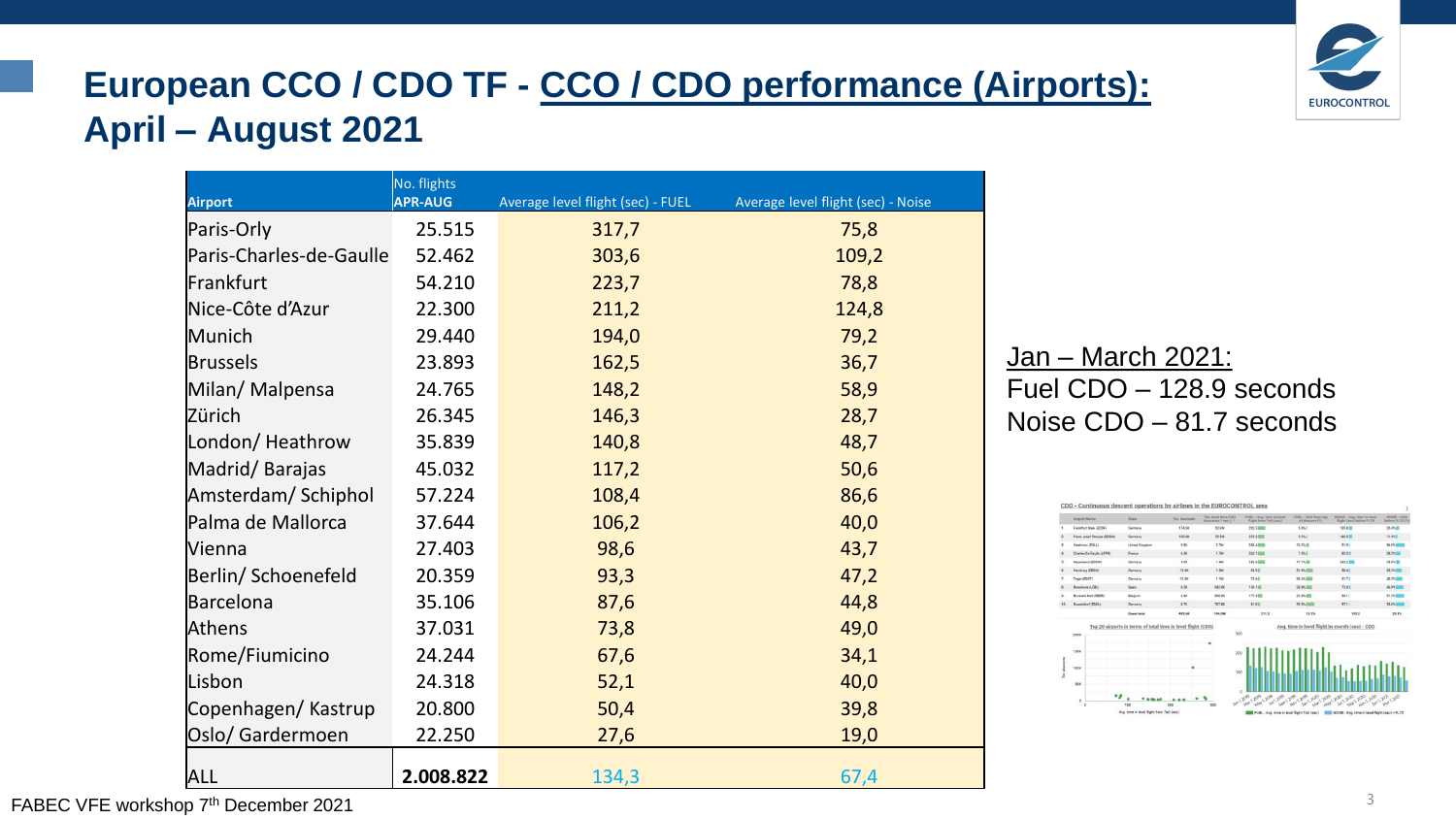#### **European CCO / CDO TF - CCO / CDO performance (Airports): April – August 2021**

| <b>Airport</b>          | No. flights<br><b>APR-AUG</b> | Average level flight (sec) - FUEL | Average level flight (sec) - Noise |  |  |  |
|-------------------------|-------------------------------|-----------------------------------|------------------------------------|--|--|--|
| Paris-Orly              | 25.515                        | 317,7                             | 75,8                               |  |  |  |
| Paris-Charles-de-Gaulle | 52.462                        | 303,6                             | 109,2                              |  |  |  |
| Frankfurt               | 54.210                        | 223,7                             | 78,8                               |  |  |  |
| Nice-Côte d'Azur        | 22.300                        | 211,2                             | 124,8                              |  |  |  |
| Munich                  | 29.440                        | 194,0                             | 79,2                               |  |  |  |
| <b>Brussels</b>         | 23.893                        | 162,5                             | 36,7                               |  |  |  |
| Milan/ Malpensa         | 24.765                        | 148,2                             | 58,9                               |  |  |  |
| Zürich                  | 26.345                        | 146,3                             | 28,7                               |  |  |  |
| London/Heathrow         | 35.839                        | 140,8                             | 48,7                               |  |  |  |
| Madrid/Barajas          | 45.032                        | 117,2                             | 50,6                               |  |  |  |
| Amsterdam/Schiphol      | 57.224                        | 108,4                             | 86,6                               |  |  |  |
| Palma de Mallorca       | 37.644                        | 106,2                             | 40,0                               |  |  |  |
| <b>Vienna</b>           | 27.403                        | 98,6                              | 43,7                               |  |  |  |
| Berlin/ Schoenefeld     | 20.359                        | 93,3                              | 47,2                               |  |  |  |
| Barcelona               | 35.106                        | 87,6                              | 44,8                               |  |  |  |
| Athens                  | 37.031                        | 73,8                              | 49,0                               |  |  |  |
| Rome/Fiumicino          | 24.244                        | 67,6                              | 34,1                               |  |  |  |
| Lisbon                  | 24.318                        | 52,1                              | 40,0                               |  |  |  |
| Copenhagen/Kastrup      | 20.800                        | 50,4                              | 39,8                               |  |  |  |
| Oslo/ Gardermoen        | 22.250                        | 27,6                              | 19,0                               |  |  |  |
| <b>ALL</b>              | 2.008.822                     | 134,3                             | 67,4                               |  |  |  |

Jan – March 2021: Fuel CDO – 128.9 seconds Noise CDO – 81.7 seconds





FABEC VFE workshop 7<sup>th</sup> December 2021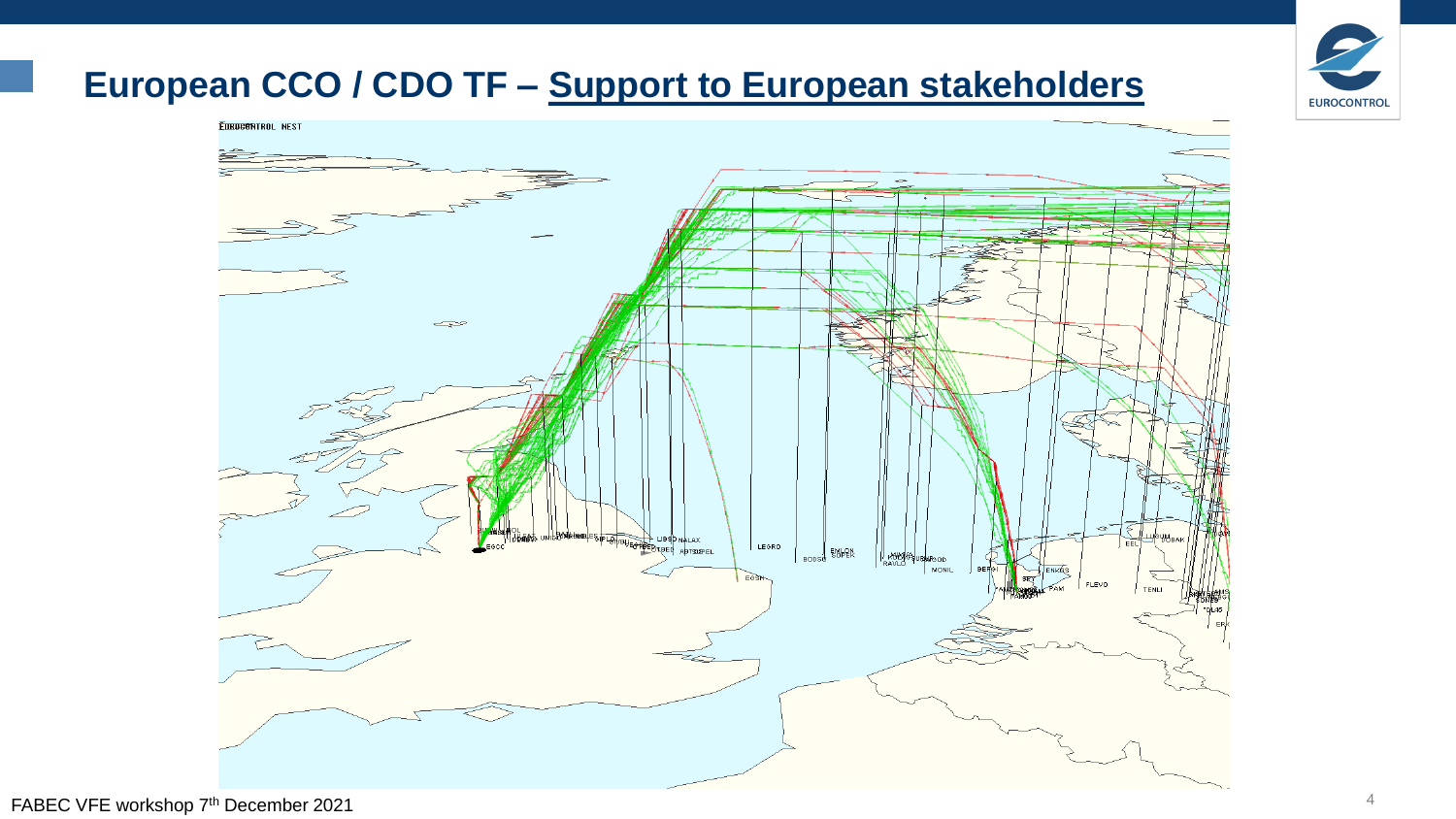#### **European CCO / CDO TF – Support to European stakeholders**



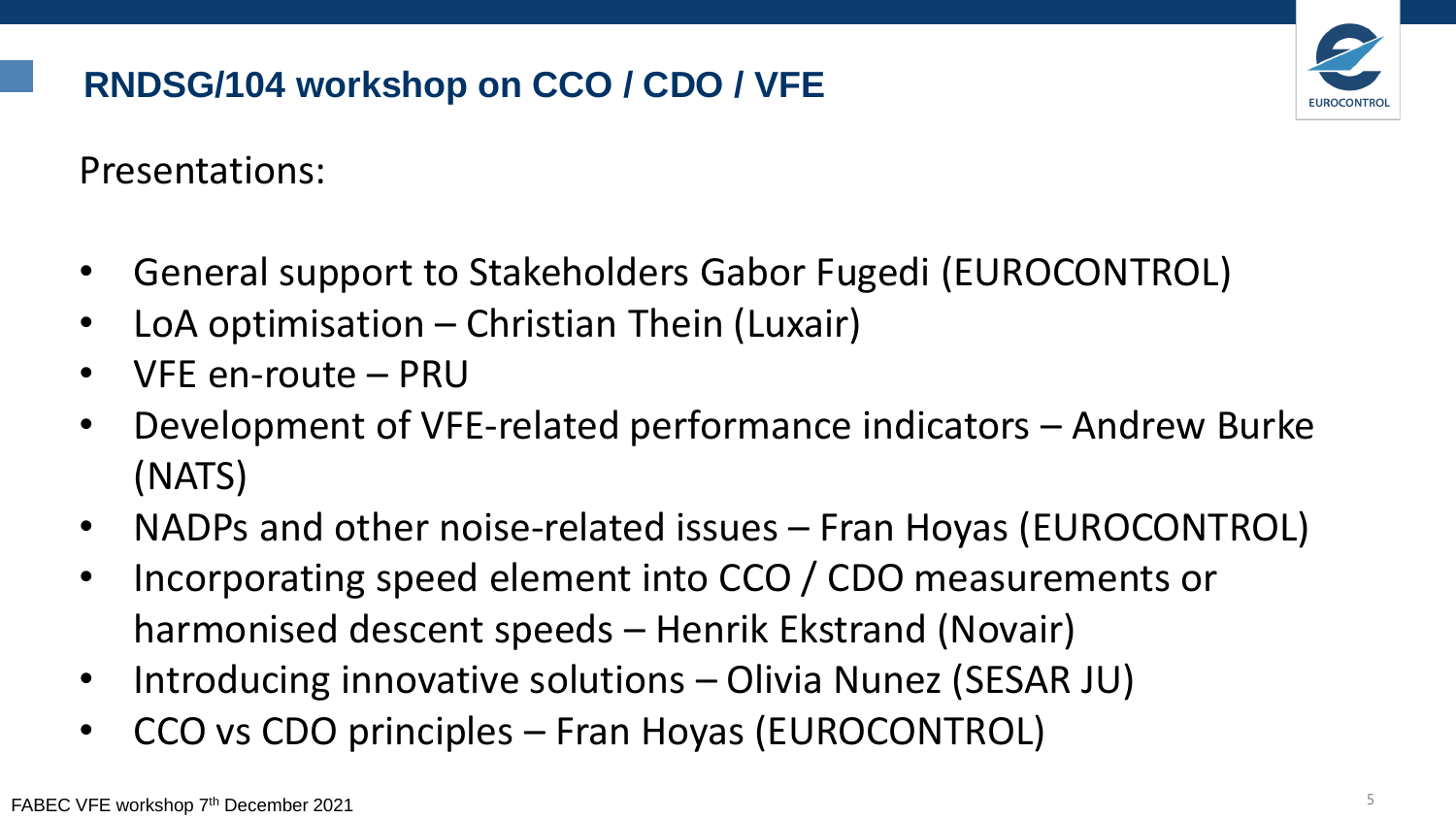#### **RNDSG/104 workshop on CCO / CDO / VFE**



Presentations:

- General support to Stakeholders Gabor Fugedi (EUROCONTROL)
- LoA optimisation Christian Thein (Luxair)
- VFE en-route PRU
- Development of VFE-related performance indicators Andrew Burke (NATS)
- NADPs and other noise-related issues Fran Hoyas (EUROCONTROL)
- Incorporating speed element into CCO / CDO measurements or harmonised descent speeds – Henrik Ekstrand (Novair)
- Introducing innovative solutions Olivia Nunez (SESAR JU)
- CCO vs CDO principles Fran Hoyas (EUROCONTROL)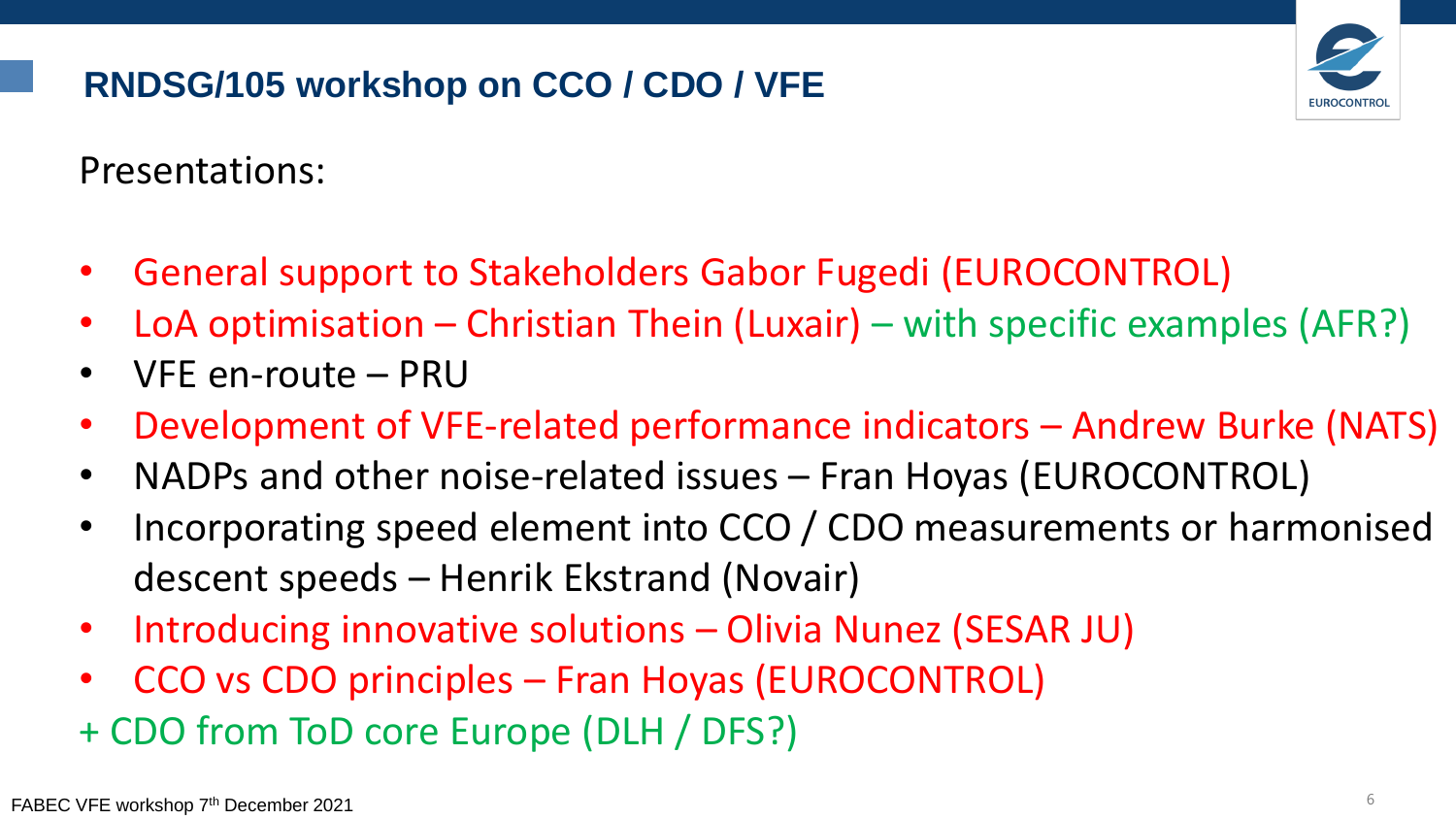#### **RNDSG/105 workshop on CCO / CDO / VFE**



Presentations:

- General support to Stakeholders Gabor Fugedi (EUROCONTROL)
- LoA optimisation Christian Thein (Luxair) with specific examples (AFR?)
- VFE en-route PRU
- Development of VFE-related performance indicators Andrew Burke (NATS)
- NADPs and other noise-related issues Fran Hoyas (EUROCONTROL)
- Incorporating speed element into CCO / CDO measurements or harmonised descent speeds – Henrik Ekstrand (Novair)
- Introducing innovative solutions Olivia Nunez (SESAR JU)
- CCO vs CDO principles Fran Hoyas (EUROCONTROL)
- + CDO from ToD core Europe (DLH / DFS?)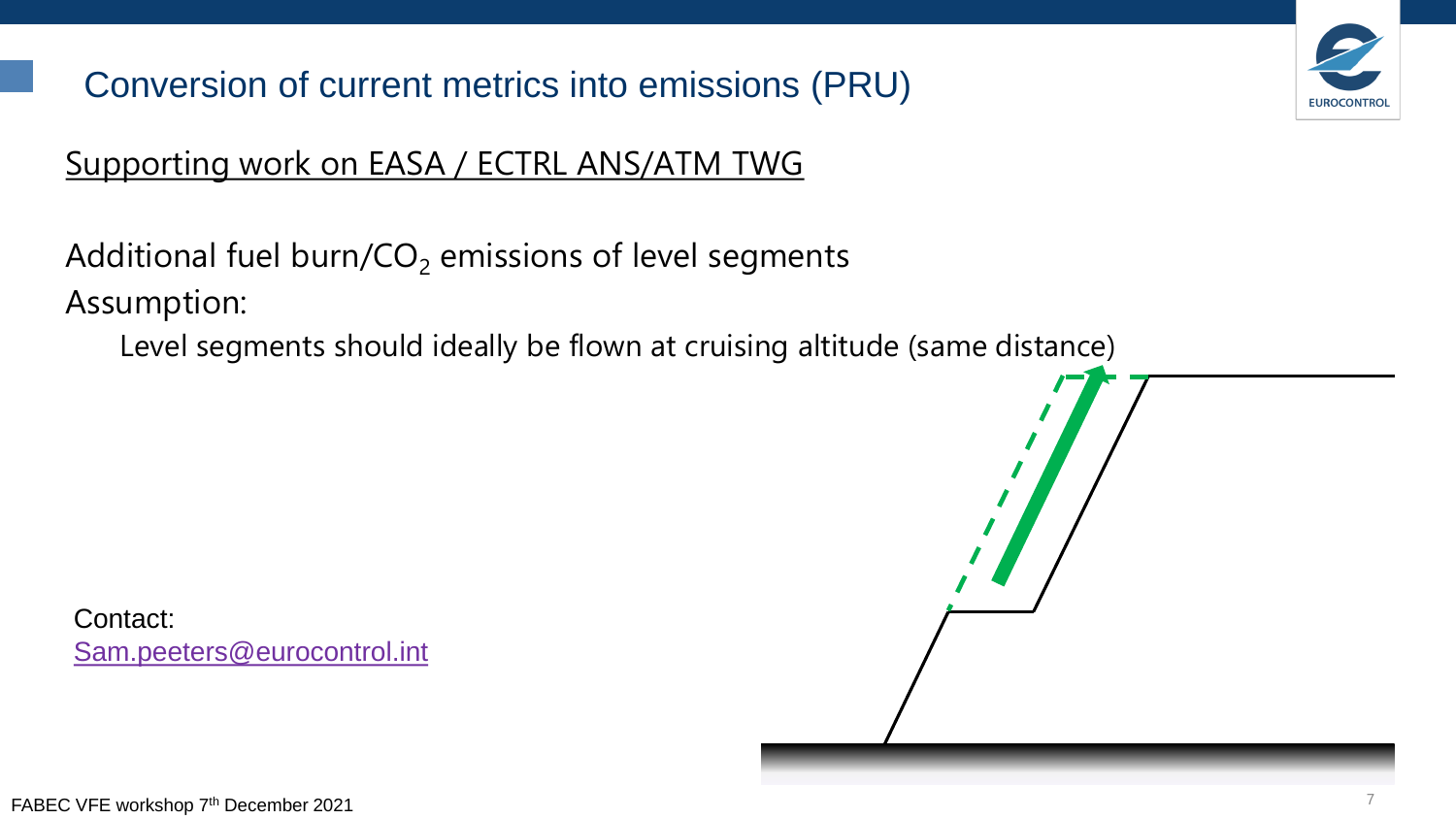Conversion of current metrics into emissions (PRU)



#### Supporting work on EASA / ECTRL ANS/ATM TWG

Additional fuel burn/ $CO<sub>2</sub>$  emissions of level segments Assumption:

Level segments should ideally be flown at cruising altitude (same distance)

Contact: [Sam.peeters@eurocontrol.int](mailto:Karim.zeghal@eurocontrol.int)

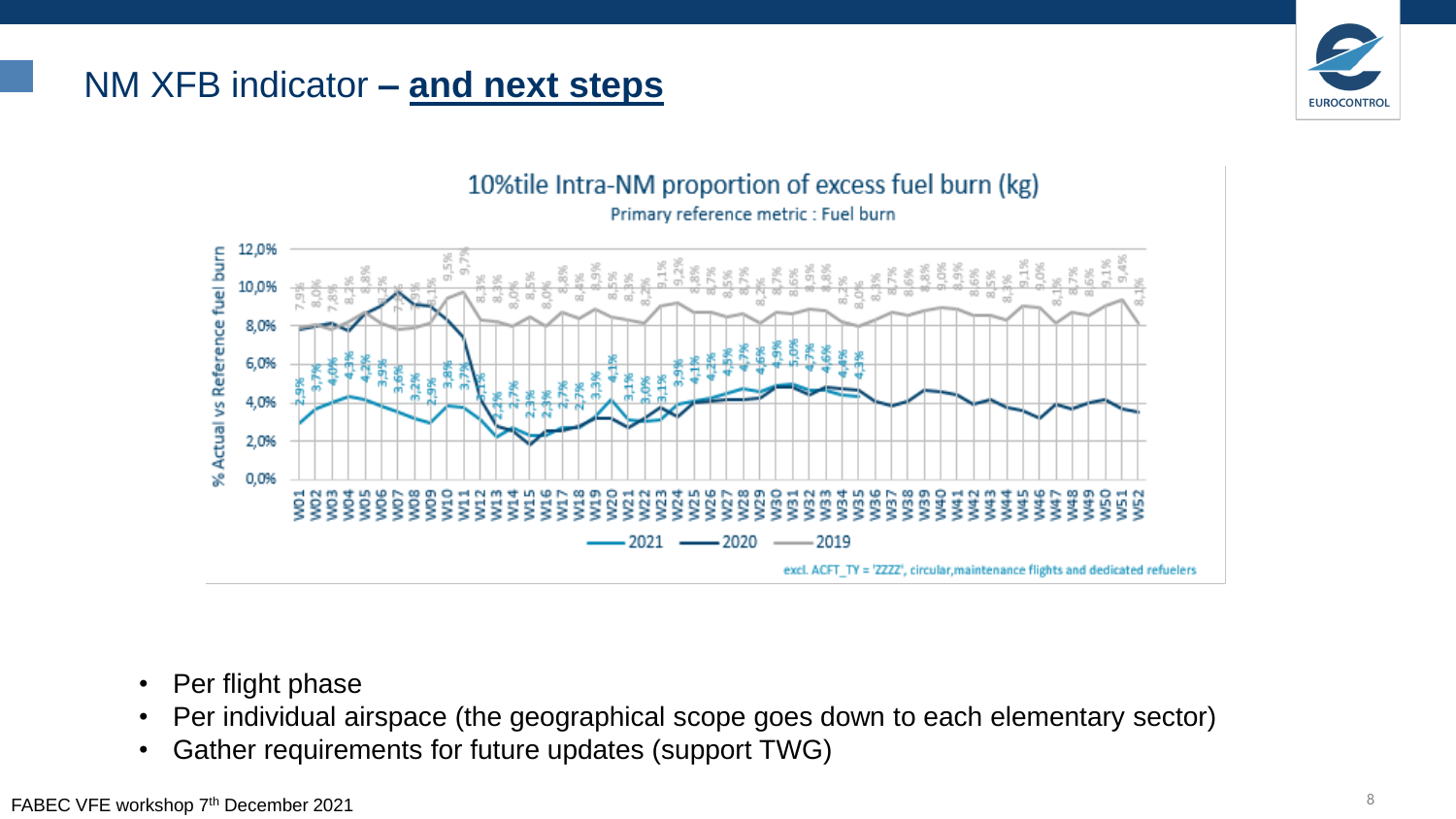#### NM XFB indicator **– and next steps**





10% tile Intra-NM proportion of excess fuel burn (kg)

excl. ACFT\_TY = 'ZZZZ', circular, maintenance flights and dedicated refuelers

- Per flight phase
- Per individual airspace (the geographical scope goes down to each elementary sector)
- Gather requirements for future updates (support TWG)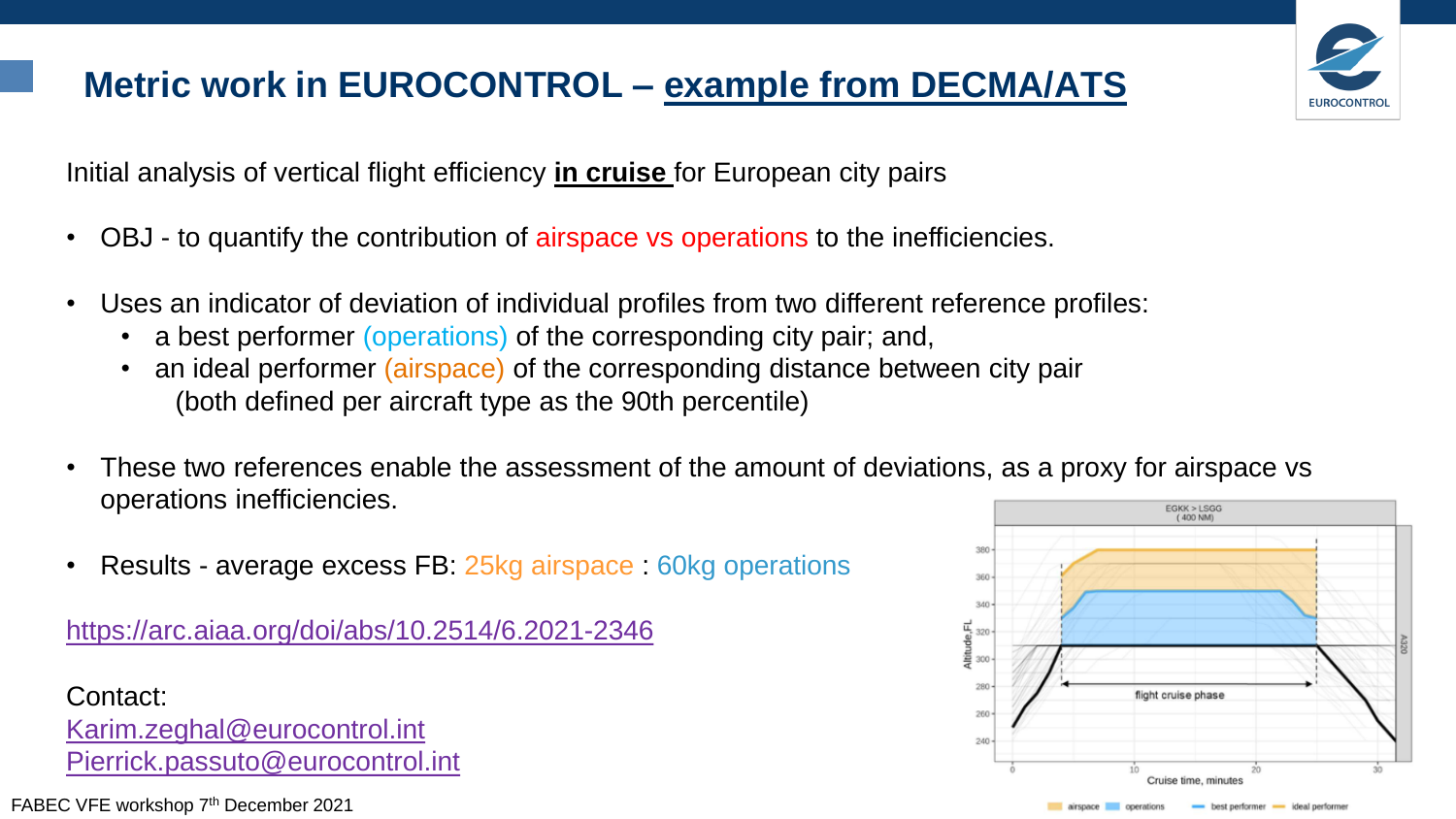#### **Metric work in EUROCONTROL – example from DECMA/ATS**



Initial analysis of vertical flight efficiency **in cruise** for European city pairs

- OBJ to quantify the contribution of airspace vs operations to the inefficiencies.
- Uses an indicator of deviation of individual profiles from two different reference profiles:
	- a best performer (operations) of the corresponding city pair; and,
	- an ideal performer (airspace) of the corresponding distance between city pair (both defined per aircraft type as the 90th percentile)
- These two references enable the assessment of the amount of deviations, as a proxy for airspace vs operations inefficiencies. EGKK > LSGG
- Results average excess FB: 25kg airspace : 60kg operations

<https://arc.aiaa.org/doi/abs/10.2514/6.2021-2346>

Contact: [Karim.zeghal@eurocontrol.int](mailto:Karim.zeghal@eurocontrol.int) [Pierrick.passuto@eurocontrol.int](mailto:Pierrick.passuto@eurocontrol.int)

FABEC VFE workshop 7<sup>th</sup> December 2021



best performer - ideal performe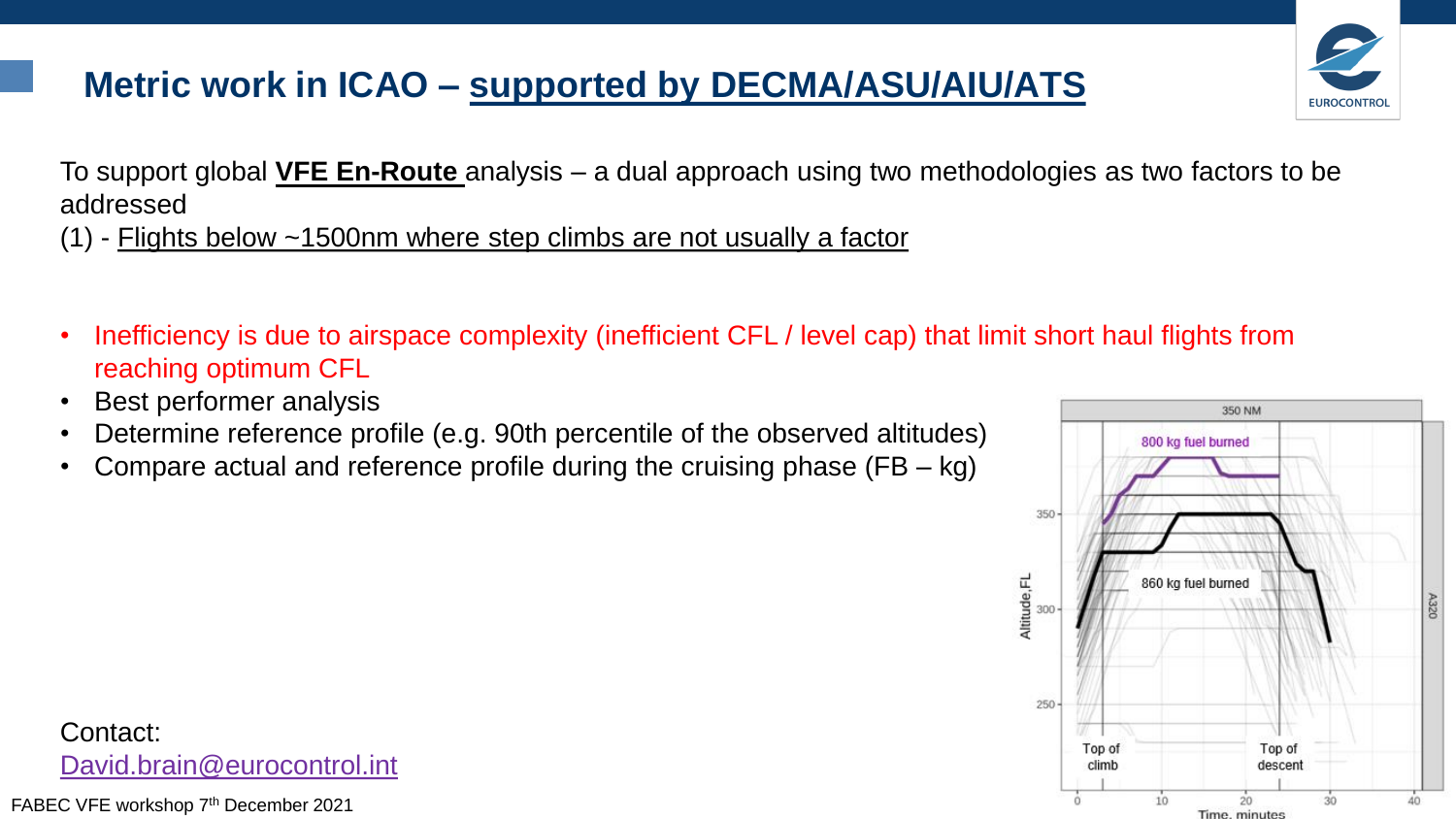#### **Metric work in ICAO – supported by DECMA/ASU/AIU/ATS**



(1) - Flights below ~1500nm where step climbs are not usually a factor

- Inefficiency is due to airspace complexity (inefficient CFL / level cap) that limit short haul flights from reaching optimum CFL
- Best performer analysis
- Determine reference profile (e.g. 90th percentile of the observed altitudes)
- Compare actual and reference profile during the cruising phase  $(FB kg)$



**EUROCONTRO** 

Contact: [David.brain@eurocontrol.int](mailto:David.brain@eurocontrol.int)

FABEC VFE workshop 7th December 2021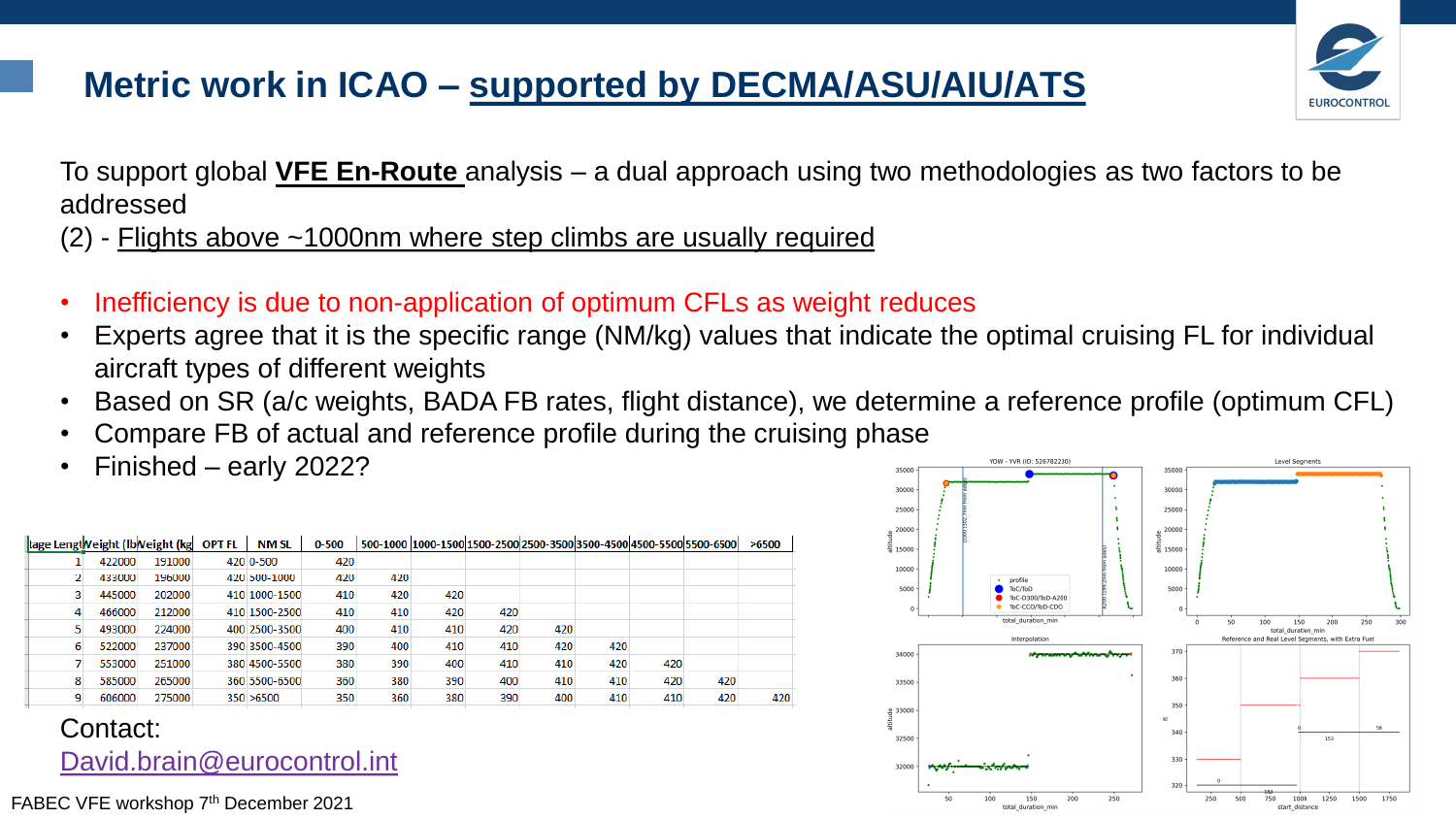#### **Metric work in ICAO – supported by DECMA/ASU/AIU/ATS**



To support global **VFE En-Route** analysis – a dual approach using two methodologies as two factors to be addressed

(2) - Flights above ~1000nm where step climbs are usually required

- Inefficiency is due to non-application of optimum CFLs as weight reduces
- Experts agree that it is the specific range (NM/kg) values that indicate the optimal cruising FL for individual aircraft types of different weights
- Based on SR (a/c weights, BADA FB rates, flight distance), we determine a reference profile (optimum CFL)
- Compare FB of actual and reference profile during the cruising phase
- Finished early 2022?

| tage Lengt Veight (Ib Veight (kg |        |        | <b>OPT FL</b> | NM SL         | $0 - 500$ |     |     |     |     |     |     | 500-1000 1000-1500 1500-2500 2500 - 3500 3500-4500 4500 - 5500 5500 - 6500 5 | >6500 |
|----------------------------------|--------|--------|---------------|---------------|-----------|-----|-----|-----|-----|-----|-----|------------------------------------------------------------------------------|-------|
|                                  | 422000 | 191000 |               | 420 0-500     | 420       |     |     |     |     |     |     |                                                                              |       |
|                                  | 433000 | 196000 |               | 420 500-1000  | 420       | 420 |     |     |     |     |     |                                                                              |       |
|                                  | 445000 | 202000 |               | 410 1000-1500 | 410       | 420 | 420 |     |     |     |     |                                                                              |       |
| 4                                | 466000 | 212000 |               | 410 1500-2500 | 410       | 410 | 420 | 420 |     |     |     |                                                                              |       |
|                                  | 493000 | 224000 |               | 400 2500-3500 | 400       | 410 | 410 | 420 | 420 |     |     |                                                                              |       |
| 6                                | 522000 | 237000 |               | 390 3500-4500 | 390       | 400 | 410 | 410 | 420 | 420 |     |                                                                              |       |
|                                  | 553000 | 251000 |               | 380 4500-5500 | 380       | 390 | 400 | 410 | 410 | 420 | 420 |                                                                              |       |
| 8                                | 585000 | 265000 |               | 360 5500-6500 | 360       | 380 | 390 | 400 | 410 | 410 | 420 | 420                                                                          |       |
|                                  | 606000 | 275000 |               | 350 > 6500    | 350       | 360 | 380 | 390 | 400 | 410 | 410 | 420                                                                          | 420   |
|                                  |        |        |               |               |           |     |     |     |     |     |     |                                                                              |       |

Contact: [David.brain@eurocontrol.int](mailto:David.brain@eurocontrol.int)

FABEC VFE workshop 7<sup>th</sup> December 2021

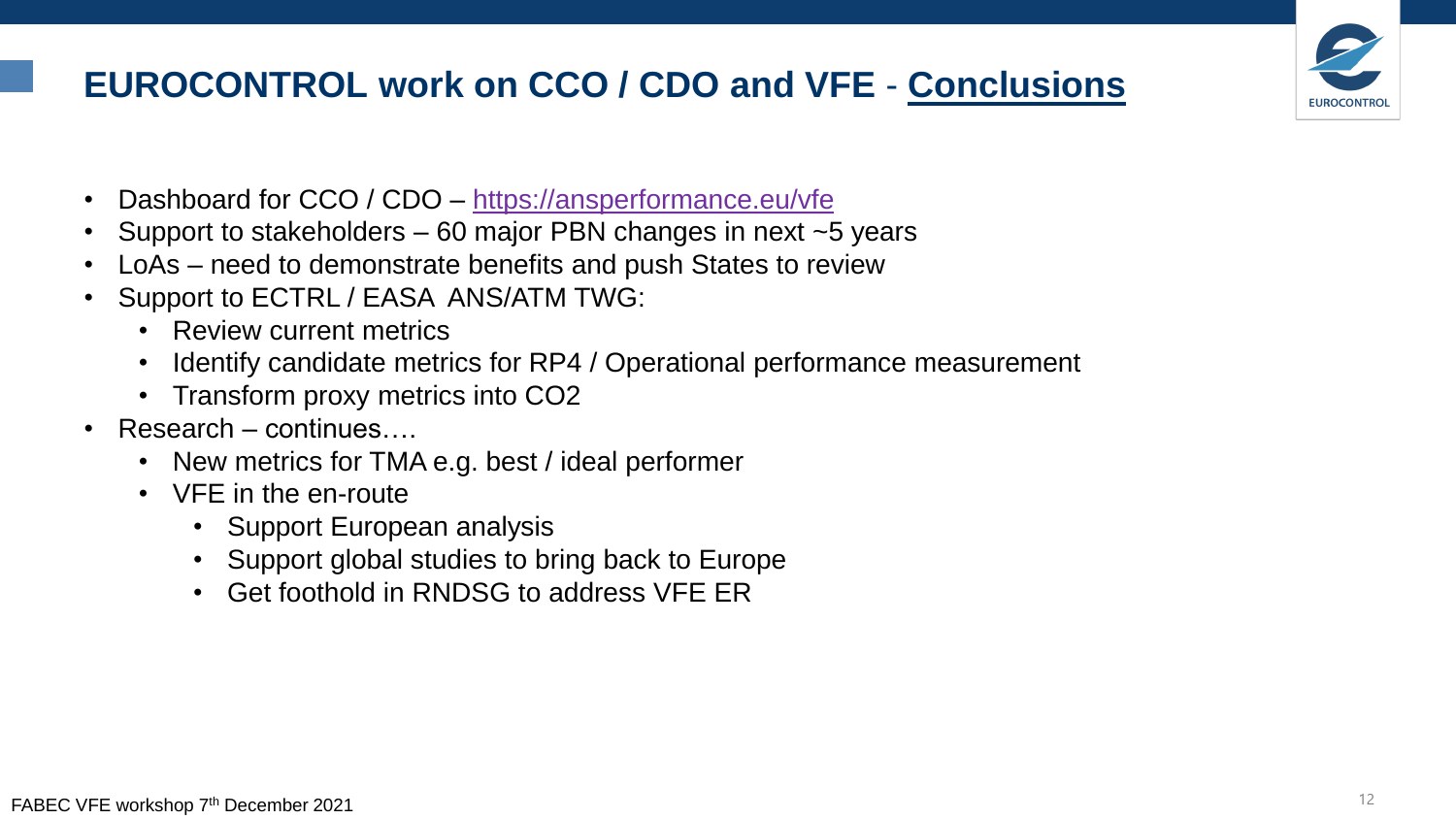#### **EUROCONTROL work on CCO / CDO and VFE** - **Conclusions**



- Dashboard for CCO / CDO <https://ansperformance.eu/vfe>
- Support to stakeholders 60 major PBN changes in next ~5 years
- LoAs need to demonstrate benefits and push States to review
- Support to ECTRL / EASA ANS/ATM TWG:
	- Review current metrics
	- Identify candidate metrics for RP4 / Operational performance measurement
	- Transform proxy metrics into CO2
- Research continues
	- New metrics for TMA e.g. best / ideal performer
	- VFE in the en-route
		- Support European analysis
		- Support global studies to bring back to Europe
		- Get foothold in RNDSG to address VFE ER